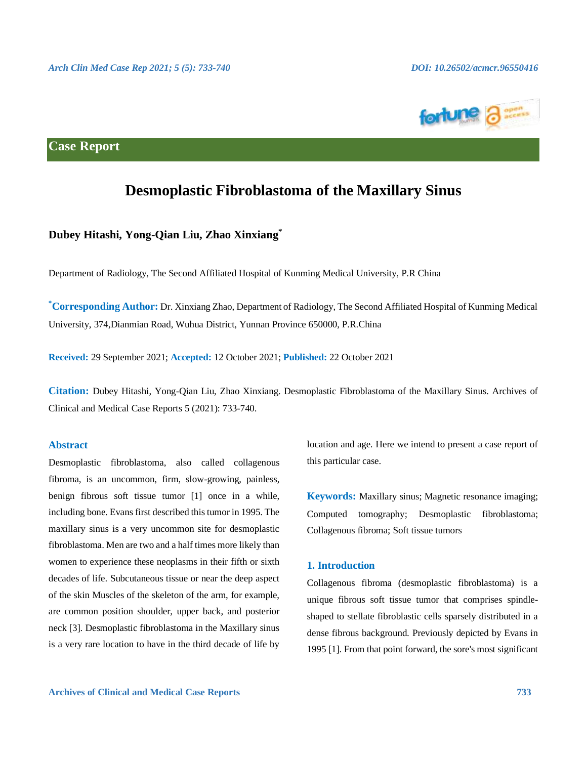

# **Case Report**

# **Desmoplastic Fibroblastoma of the Maxillary Sinus**

## **Dubey Hitashi, Yong-Qian Liu, Zhao Xinxiang\***

Department of Radiology, The Second Affiliated Hospital of Kunming Medical University, P.R China

**\*Corresponding Author:** Dr. Xinxiang Zhao, Department of Radiology, The Second Affiliated Hospital of Kunming Medical University, 374,Dianmian Road, Wuhua District, Yunnan Province 650000, P.R.China

**Received:** 29 September 2021; **Accepted:** 12 October 2021; **Published:** 22 October 2021

**Citation:** Dubey Hitashi, Yong-Qian Liu, Zhao Xinxiang. Desmoplastic Fibroblastoma of the Maxillary Sinus. Archives of Clinical and Medical Case Reports 5 (2021): 733-740.

#### **Abstract**

Desmoplastic fibroblastoma, also called collagenous fibroma, is an uncommon, firm, slow-growing, painless, benign fibrous soft tissue tumor [1] once in a while, including bone. Evans first described this tumor in 1995. The maxillary sinus is a very uncommon site for desmoplastic fibroblastoma. Men are two and a half times more likely than women to experience these neoplasms in their fifth or sixth decades of life. Subcutaneous tissue or near the deep aspect of the skin Muscles of the skeleton of the arm, for example, are common position shoulder, upper back, and posterior neck [3]. Desmoplastic fibroblastoma in the Maxillary sinus is a very rare location to have in the third decade of life by location and age. Here we intend to present a case report of this particular case.

**Keywords:** Maxillary sinus; Magnetic resonance imaging; Computed tomography; Desmoplastic fibroblastoma; Collagenous fibroma; Soft tissue tumors

#### **1. Introduction**

Collagenous fibroma (desmoplastic fibroblastoma) is a unique fibrous soft tissue tumor that comprises spindleshaped to stellate fibroblastic cells sparsely distributed in a dense fibrous background. Previously depicted by Evans in 1995 [1]. From that point forward, the sore's most significant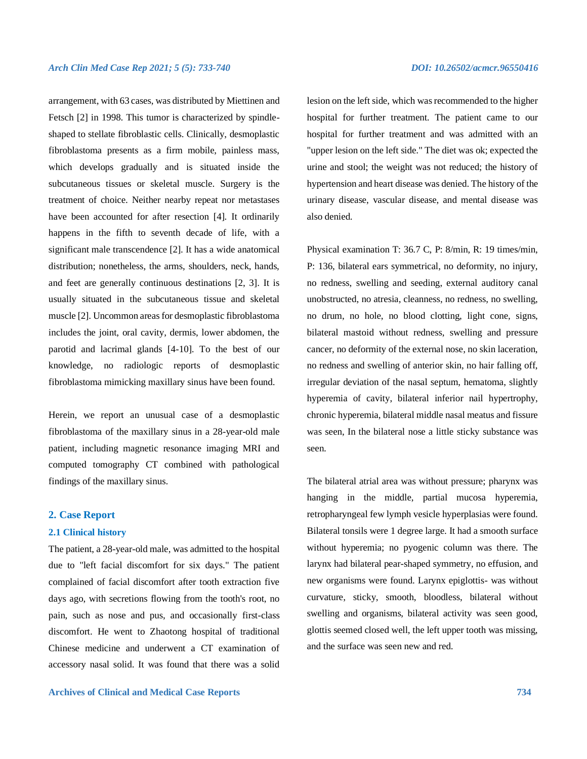arrangement, with 63 cases, was distributed by Miettinen and Fetsch [2] in 1998. This tumor is characterized by spindleshaped to stellate fibroblastic cells. Clinically, desmoplastic fibroblastoma presents as a firm mobile, painless mass, which develops gradually and is situated inside the subcutaneous tissues or skeletal muscle. Surgery is the treatment of choice. Neither nearby repeat nor metastases have been accounted for after resection [4]. It ordinarily happens in the fifth to seventh decade of life, with a significant male transcendence [2]. It has a wide anatomical distribution; nonetheless, the arms, shoulders, neck, hands, and feet are generally continuous destinations [2, 3]. It is usually situated in the subcutaneous tissue and skeletal muscle [2]. Uncommon areas for desmoplastic fibroblastoma includes the joint, oral cavity, dermis, lower abdomen, the parotid and lacrimal glands [4-10]. To the best of our knowledge, no radiologic reports of desmoplastic fibroblastoma mimicking maxillary sinus have been found.

Herein, we report an unusual case of a desmoplastic fibroblastoma of the maxillary sinus in a 28-year-old male patient, including magnetic resonance imaging MRI and computed tomography CT combined with pathological findings of the maxillary sinus.

#### **2. Case Report**

#### **2.1 Clinical history**

The patient, a 28-year-old male, was admitted to the hospital due to "left facial discomfort for six days." The patient complained of facial discomfort after tooth extraction five days ago, with secretions flowing from the tooth's root, no pain, such as nose and pus, and occasionally first-class discomfort. He went to Zhaotong hospital of traditional Chinese medicine and underwent a CT examination of accessory nasal solid. It was found that there was a solid

lesion on the left side, which was recommended to the higher hospital for further treatment. The patient came to our hospital for further treatment and was admitted with an "upper lesion on the left side." The diet was ok; expected the urine and stool; the weight was not reduced; the history of hypertension and heart disease was denied. The history of the urinary disease, vascular disease, and mental disease was also denied.

Physical examination T: 36.7 C, P: 8/min, R: 19 times/min, P: 136, bilateral ears symmetrical, no deformity, no injury, no redness, swelling and seeding, external auditory canal unobstructed, no atresia, cleanness, no redness, no swelling, no drum, no hole, no blood clotting, light cone, signs, bilateral mastoid without redness, swelling and pressure cancer, no deformity of the external nose, no skin laceration, no redness and swelling of anterior skin, no hair falling off, irregular deviation of the nasal septum, hematoma, slightly hyperemia of cavity, bilateral inferior nail hypertrophy, chronic hyperemia, bilateral middle nasal meatus and fissure was seen, In the bilateral nose a little sticky substance was seen.

The bilateral atrial area was without pressure; pharynx was hanging in the middle, partial mucosa hyperemia, retropharyngeal few lymph vesicle hyperplasias were found. Bilateral tonsils were 1 degree large. It had a smooth surface without hyperemia; no pyogenic column was there. The larynx had bilateral pear-shaped symmetry, no effusion, and new organisms were found. Larynx epiglottis- was without curvature, sticky, smooth, bloodless, bilateral without swelling and organisms, bilateral activity was seen good, glottis seemed closed well, the left upper tooth was missing, and the surface was seen new and red.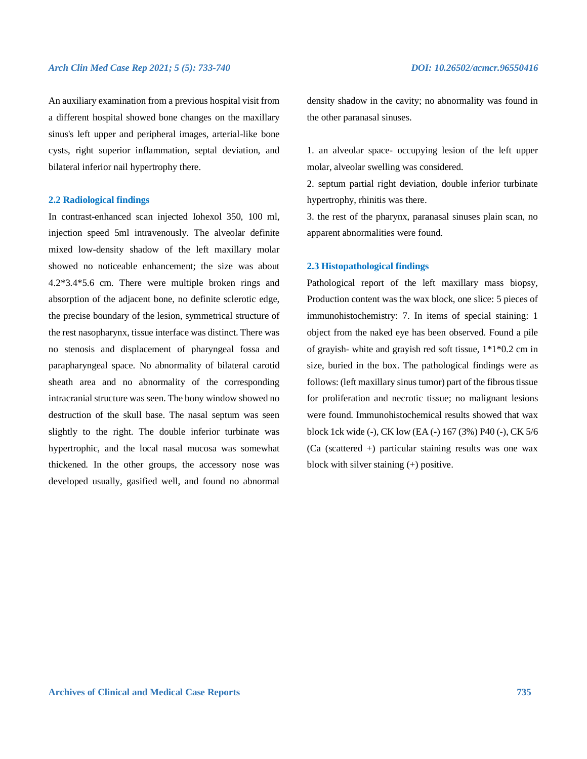#### *Arch Clin Med Case Rep 2021; 5 (5): 733-740 DOI: 10.26502/acmcr.96550416*

An auxiliary examination from a previous hospital visit from a different hospital showed bone changes on the maxillary sinus's left upper and peripheral images, arterial-like bone cysts, right superior inflammation, septal deviation, and bilateral inferior nail hypertrophy there.

#### **2.2 Radiological findings**

In contrast-enhanced scan injected Iohexol 350, 100 ml, injection speed 5ml intravenously. The alveolar definite mixed low-density shadow of the left maxillary molar showed no noticeable enhancement; the size was about 4.2\*3.4\*5.6 cm. There were multiple broken rings and absorption of the adjacent bone, no definite sclerotic edge, the precise boundary of the lesion, symmetrical structure of the rest nasopharynx, tissue interface was distinct. There was no stenosis and displacement of pharyngeal fossa and parapharyngeal space. No abnormality of bilateral carotid sheath area and no abnormality of the corresponding intracranial structure was seen. The bony window showed no destruction of the skull base. The nasal septum was seen slightly to the right. The double inferior turbinate was hypertrophic, and the local nasal mucosa was somewhat thickened. In the other groups, the accessory nose was developed usually, gasified well, and found no abnormal

density shadow in the cavity; no abnormality was found in the other paranasal sinuses.

1. an alveolar space- occupying lesion of the left upper molar, alveolar swelling was considered.

2. septum partial right deviation, double inferior turbinate hypertrophy, rhinitis was there.

3. the rest of the pharynx, paranasal sinuses plain scan, no apparent abnormalities were found.

#### **2.3 Histopathological findings**

Pathological report of the left maxillary mass biopsy, Production content was the wax block, one slice: 5 pieces of immunohistochemistry: 7. In items of special staining: 1 object from the naked eye has been observed. Found a pile of grayish- white and grayish red soft tissue, 1\*1\*0.2 cm in size, buried in the box. The pathological findings were as follows: (left maxillary sinus tumor) part of the fibrous tissue for proliferation and necrotic tissue; no malignant lesions were found. Immunohistochemical results showed that wax block 1ck wide (-), CK low (EA (-) 167 (3%) P40 (-), CK 5/6 (Ca (scattered +) particular staining results was one wax block with silver staining (+) positive.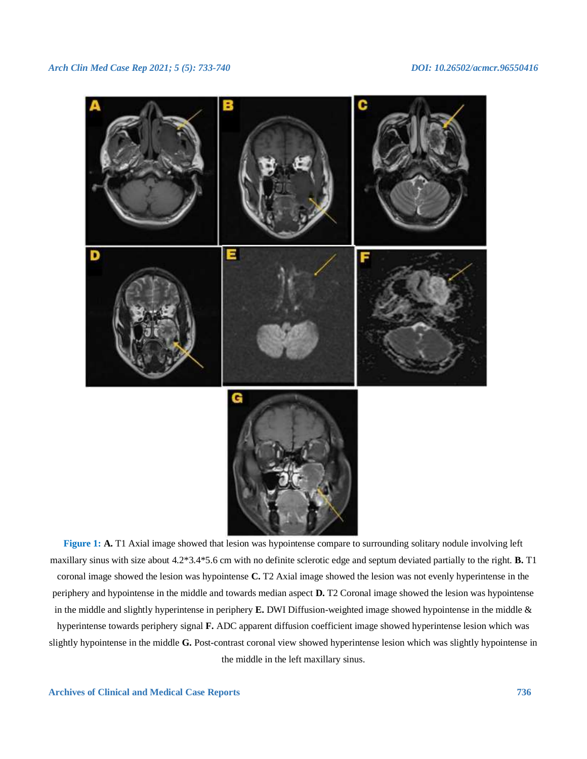

**Figure 1: A.** T1 Axial image showed that lesion was hypointense compare to surrounding solitary nodule involving left maxillary sinus with size about 4.2\*3.4\*5.6 cm with no definite sclerotic edge and septum deviated partially to the right. **B.** T1 coronal image showed the lesion was hypointense **C.** T2 Axial image showed the lesion was not evenly hyperintense in the periphery and hypointense in the middle and towards median aspect **D.** T2 Coronal image showed the lesion was hypointense in the middle and slightly hyperintense in periphery **E.** DWI Diffusion-weighted image showed hypointense in the middle & hyperintense towards periphery signal **F.** ADC apparent diffusion coefficient image showed hyperintense lesion which was slightly hypointense in the middle **G.** Post-contrast coronal view showed hyperintense lesion which was slightly hypointense in the middle in the left maxillary sinus.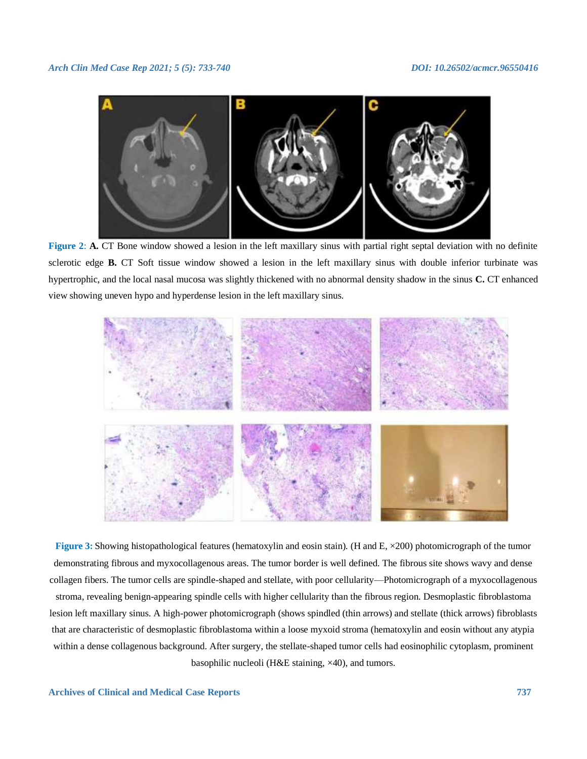

**Figure 2: A. CT** Bone window showed a lesion in the left maxillary sinus with partial right septal deviation with no definite sclerotic edge **B.** CT Soft tissue window showed a lesion in the left maxillary sinus with double inferior turbinate was hypertrophic, and the local nasal mucosa was slightly thickened with no abnormal density shadow in the sinus **C.** CT enhanced view showing uneven hypo and hyperdense lesion in the left maxillary sinus.



**Figure 3:** Showing histopathological features (hematoxylin and eosin stain). (H and E,  $\times$ 200) photomicrograph of the tumor demonstrating fibrous and myxocollagenous areas. The tumor border is well defined. The fibrous site shows wavy and dense collagen fibers. The tumor cells are spindle-shaped and stellate, with poor cellularity—Photomicrograph of a myxocollagenous stroma, revealing benign-appearing spindle cells with higher cellularity than the fibrous region. Desmoplastic fibroblastoma lesion left maxillary sinus. A high-power photomicrograph (shows spindled (thin arrows) and stellate (thick arrows) fibroblasts that are characteristic of desmoplastic fibroblastoma within a loose myxoid stroma (hematoxylin and eosin without any atypia within a dense collagenous background. After surgery, the stellate-shaped tumor cells had eosinophilic cytoplasm, prominent basophilic nucleoli (H&E staining, ×40), and tumors.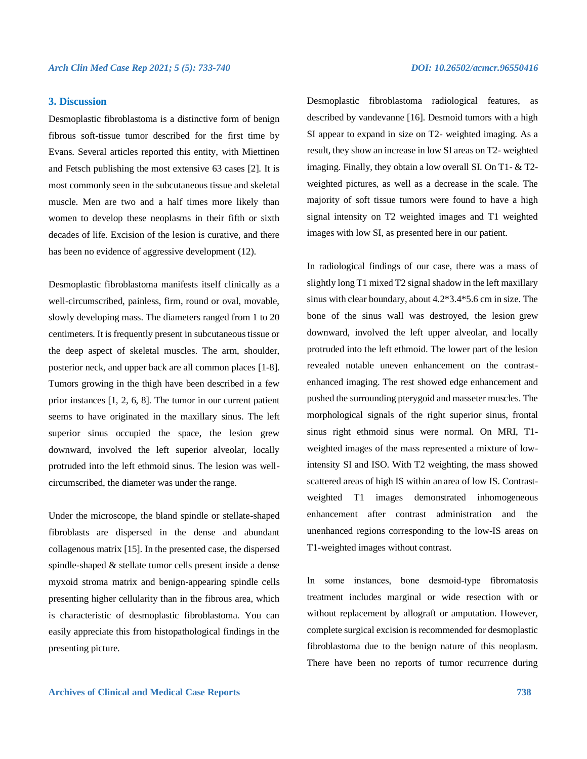#### **3. Discussion**

Desmoplastic fibroblastoma is a distinctive form of benign fibrous soft-tissue tumor described for the first time by Evans. Several articles reported this entity, with Miettinen and Fetsch publishing the most extensive 63 cases [2]. It is most commonly seen in the subcutaneous tissue and skeletal muscle. Men are two and a half times more likely than women to develop these neoplasms in their fifth or sixth decades of life. Excision of the lesion is curative, and there has been no evidence of aggressive development (12).

Desmoplastic fibroblastoma manifests itself clinically as a well-circumscribed, painless, firm, round or oval, movable, slowly developing mass. The diameters ranged from 1 to 20 centimeters. It is frequently present in subcutaneous tissue or the deep aspect of skeletal muscles. The arm, shoulder, posterior neck, and upper back are all common places [1-8]. Tumors growing in the thigh have been described in a few prior instances [1, 2, 6, 8]. The tumor in our current patient seems to have originated in the maxillary sinus. The left superior sinus occupied the space, the lesion grew downward, involved the left superior alveolar, locally protruded into the left ethmoid sinus. The lesion was wellcircumscribed, the diameter was under the range.

Under the microscope, the bland spindle or stellate-shaped fibroblasts are dispersed in the dense and abundant collagenous matrix [15]. In the presented case, the dispersed spindle-shaped & stellate tumor cells present inside a dense myxoid stroma matrix and benign-appearing spindle cells presenting higher cellularity than in the fibrous area, which is characteristic of desmoplastic fibroblastoma. You can easily appreciate this from histopathological findings in the presenting picture.

Desmoplastic fibroblastoma radiological features, as described by vandevanne [16]. Desmoid tumors with a high SI appear to expand in size on T2- weighted imaging. As a result, they show an increase in low SI areas on T2- weighted imaging. Finally, they obtain a low overall SI. On T1- & T2 weighted pictures, as well as a decrease in the scale. The majority of soft tissue tumors were found to have a high signal intensity on T2 weighted images and T1 weighted images with low SI, as presented here in our patient.

In radiological findings of our case, there was a mass of slightly long T1 mixed T2 signal shadow in the left maxillary sinus with clear boundary, about 4.2\*3.4\*5.6 cm in size. The bone of the sinus wall was destroyed, the lesion grew downward, involved the left upper alveolar, and locally protruded into the left ethmoid. The lower part of the lesion revealed notable uneven enhancement on the contrastenhanced imaging. The rest showed edge enhancement and pushed the surrounding pterygoid and masseter muscles. The morphological signals of the right superior sinus, frontal sinus right ethmoid sinus were normal. On MRI, T1 weighted images of the mass represented a mixture of lowintensity SI and ISO. With T2 weighting, the mass showed scattered areas of high IS within an area of low IS. Contrastweighted T1 images demonstrated inhomogeneous enhancement after contrast administration and the unenhanced regions corresponding to the low-IS areas on T1-weighted images without contrast.

In some instances, bone desmoid‑type fibromatosis treatment includes marginal or wide resection with or without replacement by allograft or amputation. However, complete surgical excision is recommended for desmoplastic fibroblastoma due to the benign nature of this neoplasm. There have been no reports of tumor recurrence during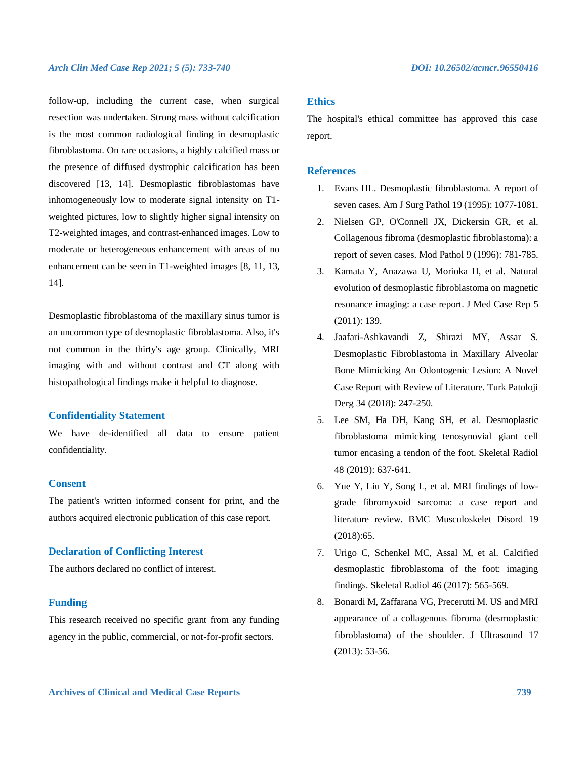#### *Arch Clin Med Case Rep 2021; 5 (5): 733-740 DOI: 10.26502/acmcr.96550416*

follow-up, including the current case, when surgical resection was undertaken. Strong mass without calcification is the most common radiological finding in desmoplastic fibroblastoma. On rare occasions, a highly calcified mass or the presence of diffused dystrophic calcification has been discovered [13, 14]. Desmoplastic fibroblastomas have inhomogeneously low to moderate signal intensity on T1 weighted pictures, low to slightly higher signal intensity on T2-weighted images, and contrast-enhanced images. Low to moderate or heterogeneous enhancement with areas of no enhancement can be seen in T1-weighted images [8, 11, 13, 14].

Desmoplastic fibroblastoma of the maxillary sinus tumor is an uncommon type of desmoplastic fibroblastoma. Also, it's not common in the thirty's age group. Clinically, MRI imaging with and without contrast and CT along with histopathological findings make it helpful to diagnose.

### **Confidentiality Statement**

We have de-identified all data to ensure patient confidentiality.

#### **Consent**

The patient's written informed consent for print, and the authors acquired electronic publication of this case report.

#### **Declaration of Conflicting Interest**

The authors declared no conflict of interest.

#### **Funding**

This research received no specific grant from any funding agency in the public, commercial, or not-for-profit sectors.

#### **Ethics**

The hospital's ethical committee has approved this case report.

#### **References**

- 1. Evans HL. Desmoplastic fibroblastoma. A report of seven cases. Am J Surg Pathol 19 (1995): 1077-1081.
- 2. Nielsen GP, O'Connell JX, Dickersin GR, et al. Collagenous fibroma (desmoplastic fibroblastoma): a report of seven cases. Mod Pathol 9 (1996): 781-785.
- 3. Kamata Y, Anazawa U, Morioka H, et al. Natural evolution of desmoplastic fibroblastoma on magnetic resonance imaging: a case report. J Med Case Rep 5 (2011): 139.
- 4. Jaafari-Ashkavandi Z, Shirazi MY, Assar S. Desmoplastic Fibroblastoma in Maxillary Alveolar Bone Mimicking An Odontogenic Lesion: A Novel Case Report with Review of Literature. Turk Patoloji Derg 34 (2018): 247-250.
- 5. Lee SM, Ha DH, Kang SH, et al. Desmoplastic fibroblastoma mimicking tenosynovial giant cell tumor encasing a tendon of the foot. Skeletal Radiol 48 (2019): 637-641.
- 6. Yue Y, Liu Y, Song L, et al. MRI findings of lowgrade fibromyxoid sarcoma: a case report and literature review. BMC Musculoskelet Disord 19 (2018):65.
- 7. Urigo C, Schenkel MC, Assal M, et al. Calcified desmoplastic fibroblastoma of the foot: imaging findings. Skeletal Radiol 46 (2017): 565-569.
- 8. Bonardi M, Zaffarana VG, Precerutti M. US and MRI appearance of a collagenous fibroma (desmoplastic fibroblastoma) of the shoulder. J Ultrasound 17 (2013): 53-56.